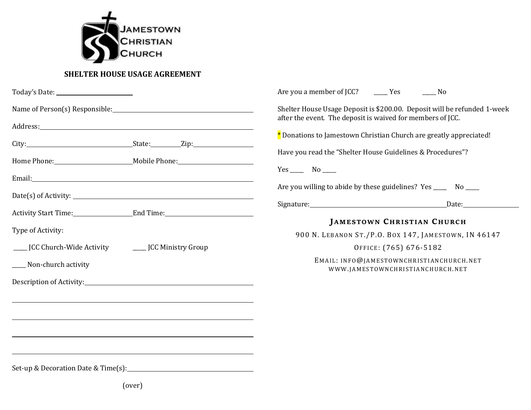

## **SHELTER HOUSE USAGE AGREEMENT**

|                                                      |                                                                                  | Are you a member of JCC? ________ Yes                                                                                                  | $\sim$ No |  |
|------------------------------------------------------|----------------------------------------------------------------------------------|----------------------------------------------------------------------------------------------------------------------------------------|-----------|--|
|                                                      | Name of Person(s) Responsible: Name of Person(s) Responsible:                    | Shelter House Usage Deposit is \$200.00. Deposit will be refunded 1-week<br>after the event. The deposit is waived for members of JCC. |           |  |
|                                                      |                                                                                  |                                                                                                                                        |           |  |
|                                                      |                                                                                  | * Donations to Jamestown Christian Church are greatly appreciated!                                                                     |           |  |
|                                                      |                                                                                  | Have you read the "Shelter House Guidelines & Procedures"?                                                                             |           |  |
|                                                      |                                                                                  | $Yes$ No ______                                                                                                                        |           |  |
|                                                      |                                                                                  | Are you willing to abide by these guidelines? Yes _______ No _____                                                                     |           |  |
|                                                      |                                                                                  | Signature: Date: Date:                                                                                                                 |           |  |
|                                                      | Activity Start Time: End Time: End Time:                                         | <b>JAMESTOWN CHRISTIAN CHURCH</b>                                                                                                      |           |  |
| Type of Activity:                                    |                                                                                  | 900 N. LEBANON ST./P.O. BOX 147, JAMESTOWN, IN 46147                                                                                   |           |  |
| JCC Church-Wide Activity ________ JCC Ministry Group |                                                                                  | OFFICE: (765) 676-5182                                                                                                                 |           |  |
| ____ Non-church activity                             |                                                                                  | EMAIL: INFO@JAMESTOWNCHRISTIANCHURCH.NET<br>WWW.JAMESTOWNCHRISTIANCHURCH.NET                                                           |           |  |
|                                                      |                                                                                  |                                                                                                                                        |           |  |
|                                                      | ,我们也不会有什么。""我们的人,我们也不会有什么?""我们的人,我们也不会有什么?""我们的人,我们也不会有什么?""我们的人,我们也不会有什么?""我们的人 |                                                                                                                                        |           |  |
|                                                      |                                                                                  |                                                                                                                                        |           |  |
|                                                      |                                                                                  |                                                                                                                                        |           |  |
|                                                      |                                                                                  |                                                                                                                                        |           |  |
|                                                      |                                                                                  |                                                                                                                                        |           |  |
|                                                      |                                                                                  |                                                                                                                                        |           |  |

(over)